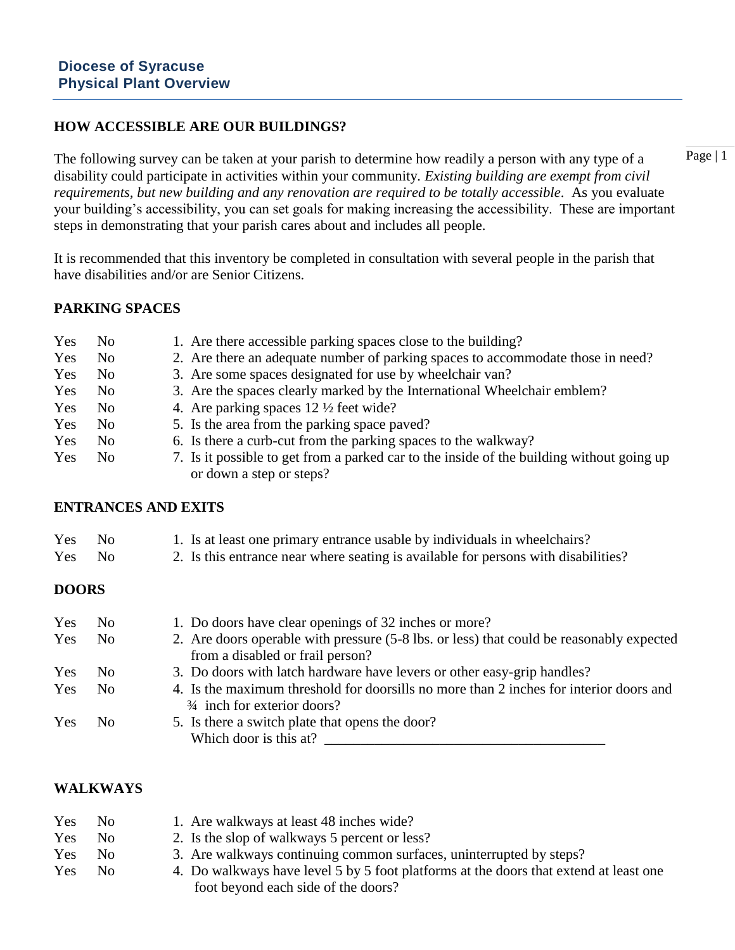## **HOW ACCESSIBLE ARE OUR BUILDINGS?**

The following survey can be taken at your parish to determine how readily a person with any type of a disability could participate in activities within your community*. Existing building are exempt from civil requirements, but new building and any renovation are required to be totally accessible*. As you evaluate your building's accessibility, you can set goals for making increasing the accessibility. These are important steps in demonstrating that your parish cares about and includes all people.

It is recommended that this inventory be completed in consultation with several people in the parish that have disabilities and/or are Senior Citizens.

### **PARKING SPACES**

| Yes | N <sub>0</sub> | 1. Are there accessible parking spaces close to the building?                                                         |
|-----|----------------|-----------------------------------------------------------------------------------------------------------------------|
| Yes | N <sub>0</sub> | 2. Are there an adequate number of parking spaces to accommodate those in need?                                       |
| Yes | N <sub>0</sub> | 3. Are some spaces designated for use by wheelchair van?                                                              |
| Yes | N <sub>0</sub> | 3. Are the spaces clearly marked by the International Wheelchair emblem?                                              |
| Yes | N <sub>0</sub> | 4. Are parking spaces $12 \frac{1}{2}$ feet wide?                                                                     |
| Yes | N <sub>0</sub> | 5. Is the area from the parking space paved?                                                                          |
| Yes | N <sub>0</sub> | 6. Is there a curb-cut from the parking spaces to the walkway?                                                        |
| Yes | N <sub>0</sub> | 7. Is it possible to get from a parked car to the inside of the building without going up<br>or down a step or steps? |

#### **ENTRANCES AND EXITS**

| Yes No |  | 1. Is at least one primary entrance usable by individuals in wheelchairs? |
|--------|--|---------------------------------------------------------------------------|
|--------|--|---------------------------------------------------------------------------|

Yes No 2. Is this entrance near where seating is available for persons with disabilities?

#### **DOORS**

| Yes | No.            | 1. Do doors have clear openings of 32 inches or more?                                                                            |
|-----|----------------|----------------------------------------------------------------------------------------------------------------------------------|
| Yes | No.            | 2. Are doors operable with pressure (5-8 lbs. or less) that could be reasonably expected<br>from a disabled or frail person?     |
| Yes | No.            | 3. Do doors with latch hardware have levers or other easy-grip handles?                                                          |
| Yes | No.            | 4. Is the maximum threshold for doorsills no more than 2 inches for interior doors and<br>$\frac{3}{4}$ inch for exterior doors? |
| Yes | N <sub>0</sub> | 5. Is there a switch plate that opens the door?<br>Which door is this at?                                                        |

### **WALKWAYS**

| Yes | No. | 1. Are walkways at least 48 inches wide?                                              |
|-----|-----|---------------------------------------------------------------------------------------|
| Yes | No. | 2. Is the slop of walkways 5 percent or less?                                         |
| Yes | No. | 3. Are walkways continuing common surfaces, uninterrupted by steps?                   |
| Yes | No. | 4. Do walkways have level 5 by 5 foot platforms at the doors that extend at least one |
|     |     | foot beyond each side of the doors?                                                   |

Page | 1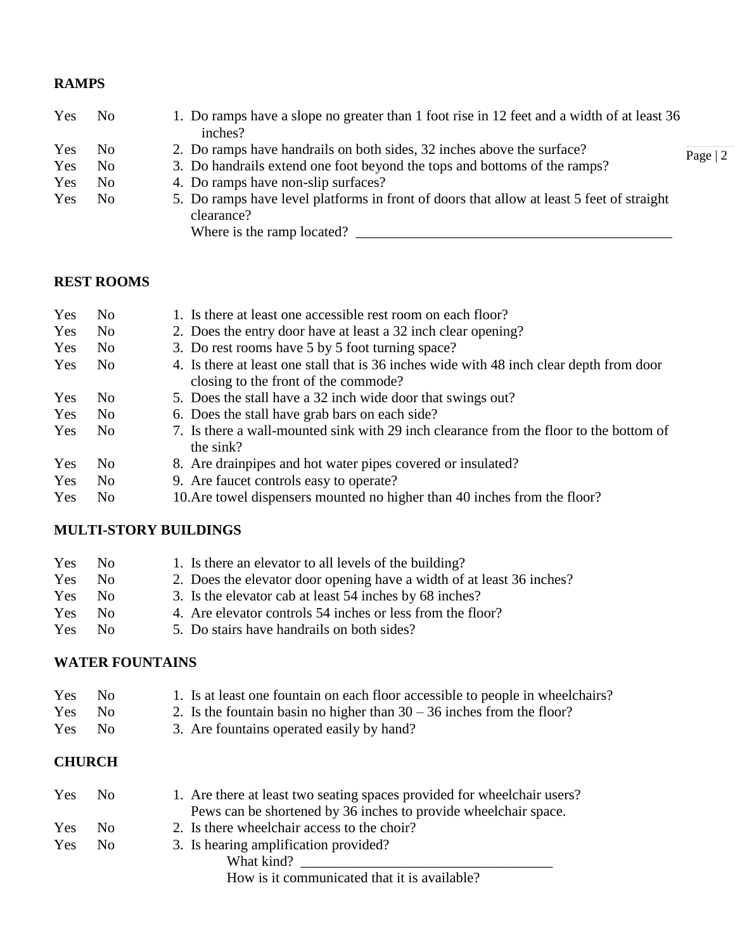### **RAMPS**

| Yes | No. | 1. Do ramps have a slope no greater than 1 foot rise in 12 feet and a width of at least 36<br>inches?                                 |           |
|-----|-----|---------------------------------------------------------------------------------------------------------------------------------------|-----------|
| Yes | No. | 2. Do ramps have handrails on both sides, 32 inches above the surface?                                                                | Page $ 2$ |
| Yes | No. | 3. Do handrails extend one foot beyond the tops and bottoms of the ramps?                                                             |           |
| Yes | No. | 4. Do ramps have non-slip surfaces?                                                                                                   |           |
| Yes | No. | 5. Do ramps have level platforms in front of doors that allow at least 5 feet of straight<br>clearance?<br>Where is the ramp located? |           |

## **REST ROOMS**

| Yes        | No.            | 1. Is there at least one accessible rest room on each floor?                                        |
|------------|----------------|-----------------------------------------------------------------------------------------------------|
| Yes        | N <sub>0</sub> | 2. Does the entry door have at least a 32 inch clear opening?                                       |
| Yes        | N <sub>0</sub> | 3. Do rest rooms have 5 by 5 foot turning space?                                                    |
| Yes        | No.            | 4. Is there at least one stall that is 36 inches wide with 48 inch clear depth from door            |
|            |                | closing to the front of the commode?                                                                |
| Yes        | N <sub>0</sub> | 5. Does the stall have a 32 inch wide door that swings out?                                         |
| Yes        | N <sub>0</sub> | 6. Does the stall have grab bars on each side?                                                      |
| <b>Yes</b> | N <sub>0</sub> | 7. Is there a wall-mounted sink with 29 inch clearance from the floor to the bottom of<br>the sink? |
| Yes        | N <sub>0</sub> | 8. Are drain pipes and hot water pipes covered or insulated?                                        |
| Yes        | N <sub>0</sub> | 9. Are faucet controls easy to operate?                                                             |
| Yes        | N <sub>0</sub> | 10. Are towel dispensers mounted no higher than 40 inches from the floor?                           |

### **MULTI-STORY BUILDINGS**

| Yes  | No.          | 1. Is there an elevator to all levels of the building?                |
|------|--------------|-----------------------------------------------------------------------|
| Yes  | No.          | 2. Does the elevator door opening have a width of at least 36 inches? |
| Yes. | No.          | 3. Is the elevator cab at least 54 inches by 68 inches?               |
| Yes  | No.          | 4. Are elevator controls 54 inches or less from the floor?            |
| Yes  | $N_{\Omega}$ | 5. Do stairs have handrails on both sides?                            |

# **WATER FOUNTAINS**

| <b>Yes</b> | No. | 1. Is at least one fountain on each floor accessible to people in wheelchairs? |
|------------|-----|--------------------------------------------------------------------------------|
| Yes.       | -No | 2. Is the fountain basin no higher than $30 - 36$ inches from the floor?       |
| <b>Yes</b> | No. | 3. Are fountains operated easily by hand?                                      |

## **CHURCH**

| Yes        | $N_{\Omega}$ | 1. Are there at least two seating spaces provided for wheelchair users? |
|------------|--------------|-------------------------------------------------------------------------|
|            |              | Pews can be shortened by 36 inches to provide wheelchair space.         |
| <b>Yes</b> | No.          | 2. Is there wheelchair access to the choir?                             |
| Yes        | No.          | 3. Is hearing amplification provided?                                   |
|            |              | What kind?                                                              |
|            |              |                                                                         |

How is it communicated that it is available?